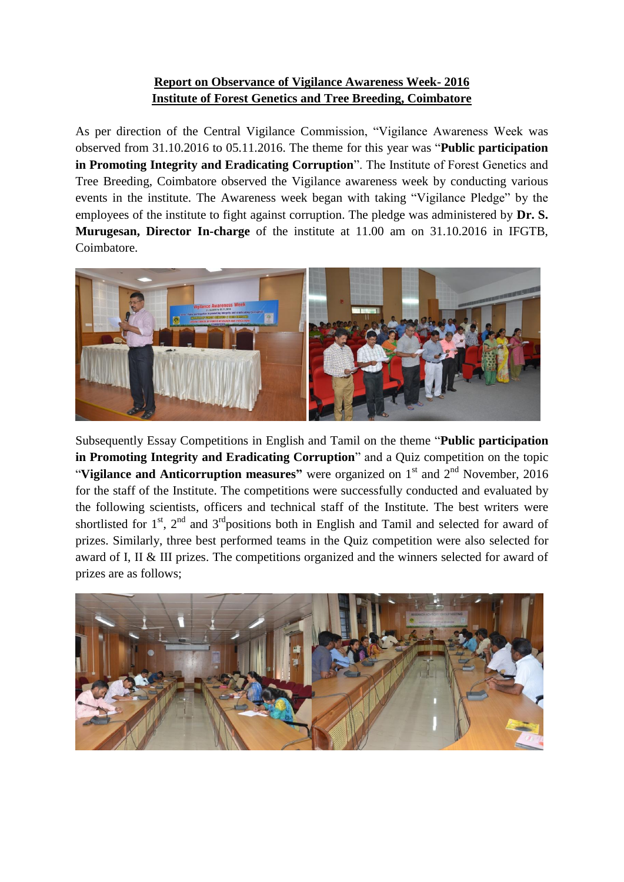## **Report on Observance of Vigilance Awareness Week- 2016 Institute of Forest Genetics and Tree Breeding, Coimbatore**

As per direction of the Central Vigilance Commission, "Vigilance Awareness Week was observed from 31.10.2016 to 05.11.2016. The theme for this year was "**Public participation in Promoting Integrity and Eradicating Corruption**". The Institute of Forest Genetics and Tree Breeding, Coimbatore observed the Vigilance awareness week by conducting various events in the institute. The Awareness week began with taking "Vigilance Pledge" by the employees of the institute to fight against corruption. The pledge was administered by **Dr. S. Murugesan, Director In-charge** of the institute at 11.00 am on 31.10.2016 in IFGTB, Coimbatore.



Subsequently Essay Competitions in English and Tamil on the theme "**Public participation in Promoting Integrity and Eradicating Corruption**" and a Quiz competition on the topic "**Vigilance and Anticorruption measures**" were organized on 1<sup>st</sup> and 2<sup>nd</sup> November, 2016 for the staff of the Institute. The competitions were successfully conducted and evaluated by the following scientists, officers and technical staff of the Institute. The best writers were shortlisted for  $1<sup>st</sup>$ ,  $2<sup>nd</sup>$  and  $3<sup>rd</sup>$  positions both in English and Tamil and selected for award of prizes. Similarly, three best performed teams in the Quiz competition were also selected for award of I, II & III prizes. The competitions organized and the winners selected for award of prizes are as follows;

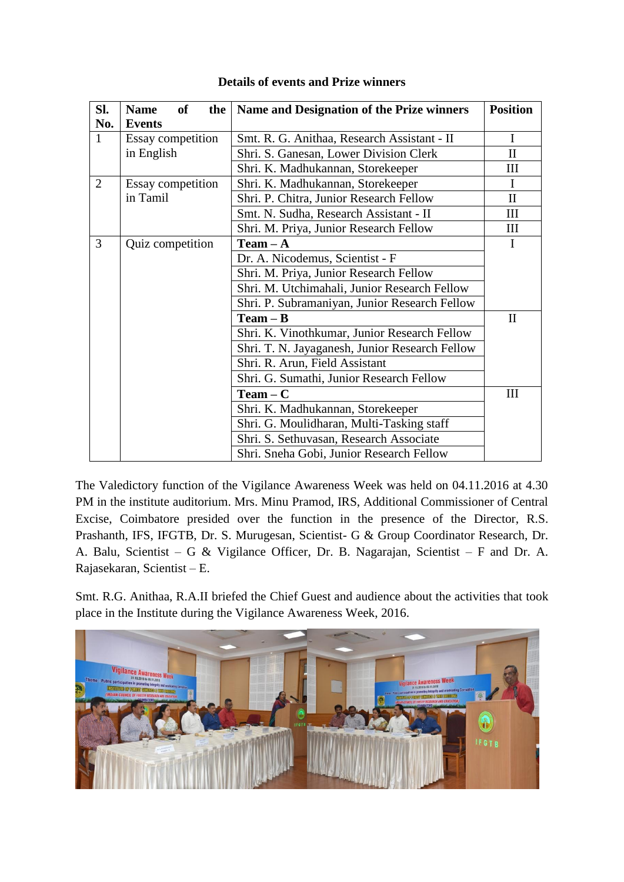| SI. | <b>of</b><br><b>Name</b><br>the | Name and Designation of the Prize winners      | <b>Position</b> |
|-----|---------------------------------|------------------------------------------------|-----------------|
| No. | <b>Events</b>                   |                                                |                 |
| 1   | Essay competition               | Smt. R. G. Anithaa, Research Assistant - II    | I               |
|     | in English                      | Shri. S. Ganesan, Lower Division Clerk         | $\mathbf{I}$    |
|     |                                 | Shri. K. Madhukannan, Storekeeper              | Ш               |
| 2   | Essay competition               | Shri. K. Madhukannan, Storekeeper              | I               |
|     | in Tamil                        | Shri. P. Chitra, Junior Research Fellow        | $\mathbf{I}$    |
|     |                                 | Smt. N. Sudha, Research Assistant - II         | Ш               |
|     |                                 | Shri. M. Priya, Junior Research Fellow         | III             |
| 3   | Quiz competition                | $Team - A$                                     | I               |
|     |                                 | Dr. A. Nicodemus, Scientist - F                |                 |
|     |                                 | Shri. M. Priya, Junior Research Fellow         |                 |
|     |                                 | Shri. M. Utchimahali, Junior Research Fellow   |                 |
|     |                                 | Shri. P. Subramaniyan, Junior Research Fellow  |                 |
|     |                                 | $Team - B$                                     | $\rm II$        |
|     |                                 | Shri. K. Vinothkumar, Junior Research Fellow   |                 |
|     |                                 | Shri. T. N. Jayaganesh, Junior Research Fellow |                 |
|     |                                 | Shri. R. Arun, Field Assistant                 |                 |
|     |                                 | Shri. G. Sumathi, Junior Research Fellow       |                 |
|     |                                 | $Team - C$                                     | Ш               |
|     |                                 | Shri. K. Madhukannan, Storekeeper              |                 |
|     |                                 | Shri. G. Moulidharan, Multi-Tasking staff      |                 |
|     |                                 | Shri. S. Sethuvasan, Research Associate        |                 |
|     |                                 | Shri. Sneha Gobi, Junior Research Fellow       |                 |

## **Details of events and Prize winners**

The Valedictory function of the Vigilance Awareness Week was held on 04.11.2016 at 4.30 PM in the institute auditorium. Mrs. Minu Pramod, IRS, Additional Commissioner of Central Excise, Coimbatore presided over the function in the presence of the Director, R.S. Prashanth, IFS, IFGTB, Dr. S. Murugesan, Scientist- G & Group Coordinator Research, Dr. A. Balu, Scientist – G & Vigilance Officer, Dr. B. Nagarajan, Scientist – F and Dr. A. Rajasekaran, Scientist – E.

Smt. R.G. Anithaa, R.A.II briefed the Chief Guest and audience about the activities that took place in the Institute during the Vigilance Awareness Week, 2016.

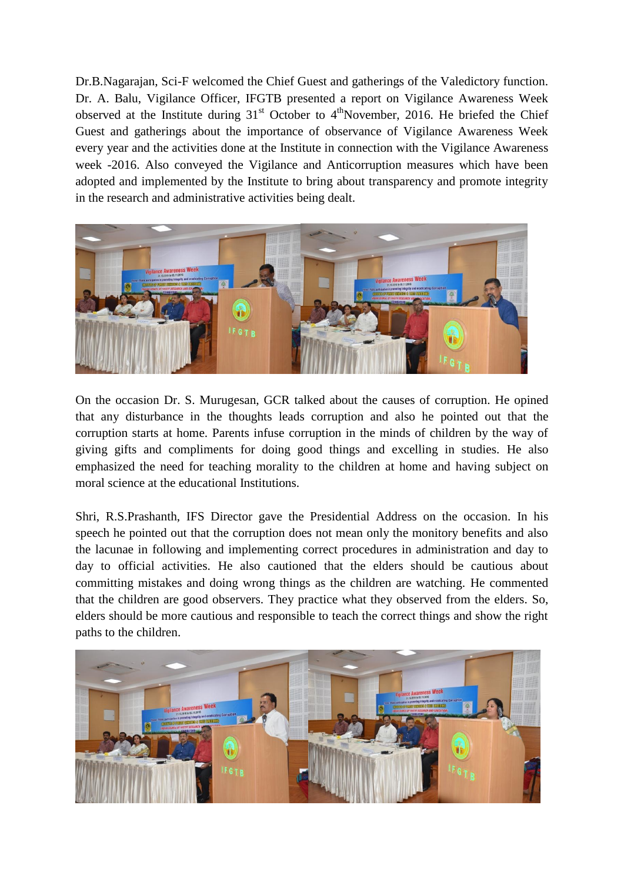Dr.B.Nagarajan, Sci-F welcomed the Chief Guest and gatherings of the Valedictory function. Dr. A. Balu, Vigilance Officer, IFGTB presented a report on Vigilance Awareness Week observed at the Institute during  $31<sup>st</sup>$  October to  $4<sup>th</sup>$ November, 2016. He briefed the Chief Guest and gatherings about the importance of observance of Vigilance Awareness Week every year and the activities done at the Institute in connection with the Vigilance Awareness week -2016. Also conveyed the Vigilance and Anticorruption measures which have been adopted and implemented by the Institute to bring about transparency and promote integrity in the research and administrative activities being dealt.



On the occasion Dr. S. Murugesan, GCR talked about the causes of corruption. He opined that any disturbance in the thoughts leads corruption and also he pointed out that the corruption starts at home. Parents infuse corruption in the minds of children by the way of giving gifts and compliments for doing good things and excelling in studies. He also emphasized the need for teaching morality to the children at home and having subject on moral science at the educational Institutions.

Shri, R.S.Prashanth, IFS Director gave the Presidential Address on the occasion. In his speech he pointed out that the corruption does not mean only the monitory benefits and also the lacunae in following and implementing correct procedures in administration and day to day to official activities. He also cautioned that the elders should be cautious about committing mistakes and doing wrong things as the children are watching. He commented that the children are good observers. They practice what they observed from the elders. So, elders should be more cautious and responsible to teach the correct things and show the right paths to the children.